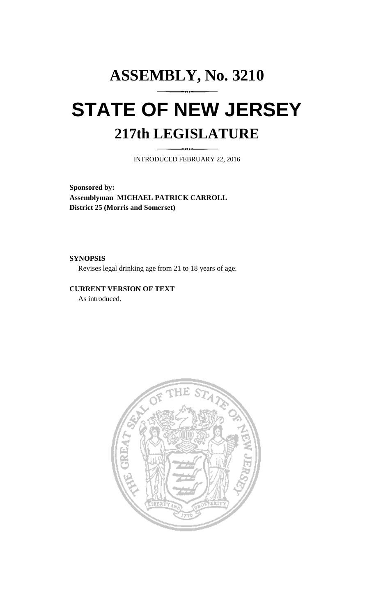## **ASSEMBLY, No. 3210 STATE OF NEW JERSEY 217th LEGISLATURE**

INTRODUCED FEBRUARY 22, 2016

**Sponsored by: Assemblyman MICHAEL PATRICK CARROLL District 25 (Morris and Somerset)**

**SYNOPSIS**

Revises legal drinking age from 21 to 18 years of age.

## **CURRENT VERSION OF TEXT**

As introduced.

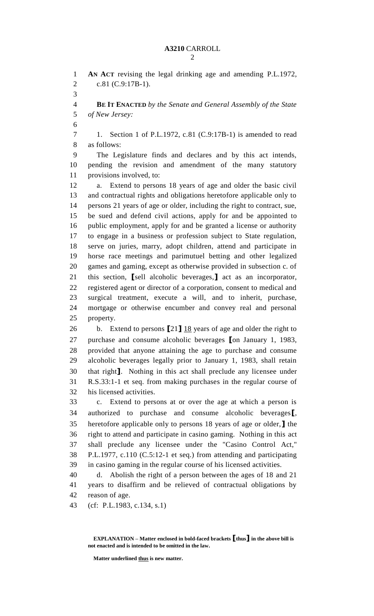## **A3210** CARROLL

 **AN ACT** revising the legal drinking age and amending P.L.1972, c.81 (C.9:17B-1). **BE IT ENACTED** *by the Senate and General Assembly of the State of New Jersey:* 1. Section 1 of P.L.1972, c.81 (C.9:17B-1) is amended to read as follows: The Legislature finds and declares and by this act intends, pending the revision and amendment of the many statutory provisions involved, to: a. Extend to persons 18 years of age and older the basic civil and contractual rights and obligations heretofore applicable only to persons 21 years of age or older, including the right to contract, sue, be sued and defend civil actions, apply for and be appointed to public employment, apply for and be granted a license or authority to engage in a business or profession subject to State regulation, serve on juries, marry, adopt children, attend and participate in horse race meetings and parimutuel betting and other legalized games and gaming, except as otherwise provided in subsection c. of this section, **[**sell alcoholic beverages,**]** act as an incorporator, registered agent or director of a corporation, consent to medical and surgical treatment, execute a will, and to inherit, purchase, mortgage or otherwise encumber and convey real and personal property. b. Extend to persons **[**21**]** 18 years of age and older the right to purchase and consume alcoholic beverages **[**on January 1, 1983, provided that anyone attaining the age to purchase and consume alcoholic beverages legally prior to January 1, 1983, shall retain that right**]**. Nothing in this act shall preclude any licensee under R.S.33:1-1 et seq. from making purchases in the regular course of his licensed activities. c. Extend to persons at or over the age at which a person is authorized to purchase and consume alcoholic beverages**[**, heretofore applicable only to persons 18 years of age or older,**]** the right to attend and participate in casino gaming. Nothing in this act shall preclude any licensee under the "Casino Control Act," P.L.1977, c.110 (C.5:12-1 et seq.) from attending and participating in casino gaming in the regular course of his licensed activities. d. Abolish the right of a person between the ages of 18 and 21 years to disaffirm and be relieved of contractual obligations by reason of age. (cf: P.L.1983, c.134, s.1)

**EXPLANATION – Matter enclosed in bold-faced brackets [thus] in the above bill is not enacted and is intended to be omitted in the law.**

**Matter underlined thus is new matter.**